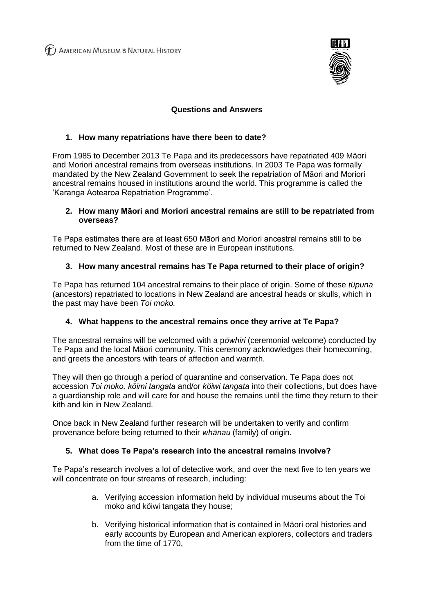(T) AMERICAN MUSEUM & NATURAL HISTORY



# **Questions and Answers**

## **1. How many repatriations have there been to date?**

From 1985 to December 2013 Te Papa and its predecessors have repatriated 409 Mäori and Moriori ancestral remains from overseas institutions. In 2003 Te Papa was formally mandated by the New Zealand Government to seek the repatriation of Māori and Moriori ancestral remains housed in institutions around the world. This programme is called the 'Karanga Aotearoa Repatriation Programme'.

#### **2. How many Māori and Moriori ancestral remains are still to be repatriated from overseas?**

Te Papa estimates there are at least 650 Māori and Moriori ancestral remains still to be returned to New Zealand. Most of these are in European institutions.

## **3. How many ancestral remains has Te Papa returned to their place of origin?**

Te Papa has returned 104 ancestral remains to their place of origin. Some of these *tüpuna*  (ancestors) repatriated to locations in New Zealand are ancestral heads or skulls, which in the past may have been *Toi moko.*

## **4. What happens to the ancestral remains once they arrive at Te Papa?**

The ancestral remains will be welcomed with a p*ōwhiri* (ceremonial welcome) conducted by Te Papa and the local Mäori community. This ceremony acknowledges their homecoming, and greets the ancestors with tears of affection and warmth.

They will then go through a period of quarantine and conservation. Te Papa does not accession *Toi moko, kōimi tangata* and/or *köiwi tangata* into their collections, but does have a guardianship role and will care for and house the remains until the time they return to their kith and kin in New Zealand.

Once back in New Zealand further research will be undertaken to verify and confirm provenance before being returned to their *whānau* (family) of origin.

## **5. What does Te Papa's research into the ancestral remains involve?**

Te Papa's research involves a lot of detective work, and over the next five to ten years we will concentrate on four streams of research, including:

- a. Verifying accession information held by individual museums about the Toi moko and köiwi tangata they house;
- b. Verifying historical information that is contained in Mäori oral histories and early accounts by European and American explorers, collectors and traders from the time of 1770,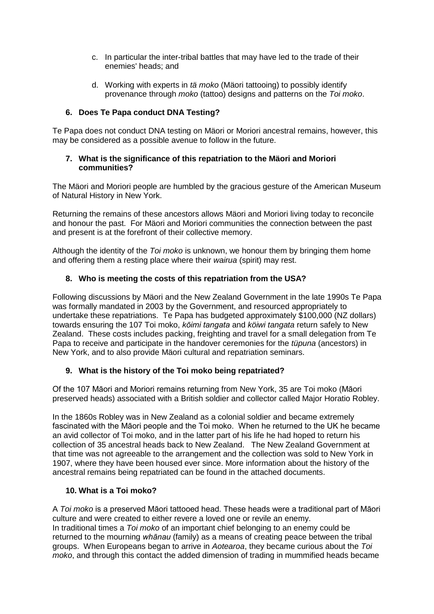- c. In particular the inter-tribal battles that may have led to the trade of their enemies' heads; and
- d. Working with experts in *tä moko* (Mäori tattooing) to possibly identify provenance through *moko* (tattoo) designs and patterns on the *Toi moko*.

# **6. Does Te Papa conduct DNA Testing?**

Te Papa does not conduct DNA testing on Mäori or Moriori ancestral remains, however, this may be considered as a possible avenue to follow in the future.

#### **7. What is the significance of this repatriation to the Mäori and Moriori communities?**

The Mäori and Moriori people are humbled by the gracious gesture of the American Museum of Natural History in New York.

Returning the remains of these ancestors allows Mäori and Moriori living today to reconcile and honour the past. For Mäori and Moriori communities the connection between the past and present is at the forefront of their collective memory.

Although the identity of the *Toi moko* is unknown, we honour them by bringing them home and offering them a resting place where their *wairua* (spirit) may rest.

## **8. Who is meeting the costs of this repatriation from the USA?**

Following discussions by Mäori and the New Zealand Government in the late 1990s Te Papa was formally mandated in 2003 by the Government, and resourced appropriately to undertake these repatriations. Te Papa has budgeted approximately \$100,000 (NZ dollars) towards ensuring the 107 Toi moko, *kōimi tangata* and *köiwi tangata* return safely to New Zealand. These costs includes packing, freighting and travel for a small delegation from Te Papa to receive and participate in the handover ceremonies for the *tüpuna* (ancestors) in New York, and to also provide Mäori cultural and repatriation seminars.

## **9. What is the history of the Toi moko being repatriated?**

Of the 107 Māori and Moriori remains returning from New York, 35 are Toi moko (Māori preserved heads) associated with a British soldier and collector called Major Horatio Robley.

In the 1860s Robley was in New Zealand as a colonial soldier and became extremely fascinated with the Māori people and the Toi moko. When he returned to the UK he became an avid collector of Toi moko, and in the latter part of his life he had hoped to return his collection of 35 ancestral heads back to New Zealand. The New Zealand Government at that time was not agreeable to the arrangement and the collection was sold to New York in 1907, where they have been housed ever since. More information about the history of the ancestral remains being repatriated can be found in the attached documents.

# **10. What is a Toi moko?**

A *Toi moko* is a preserved Māori tattooed head. These heads were a traditional part of Māori culture and were created to either revere a loved one or revile an enemy. In traditional times a *Toi moko* of an important chief belonging to an enemy could be returned to the mourning *whānau* (family) as a means of creating peace between the tribal groups. When Europeans began to arrive in *Aotearoa*, they became curious about the *Toi moko*, and through this contact the added dimension of trading in mummified heads became